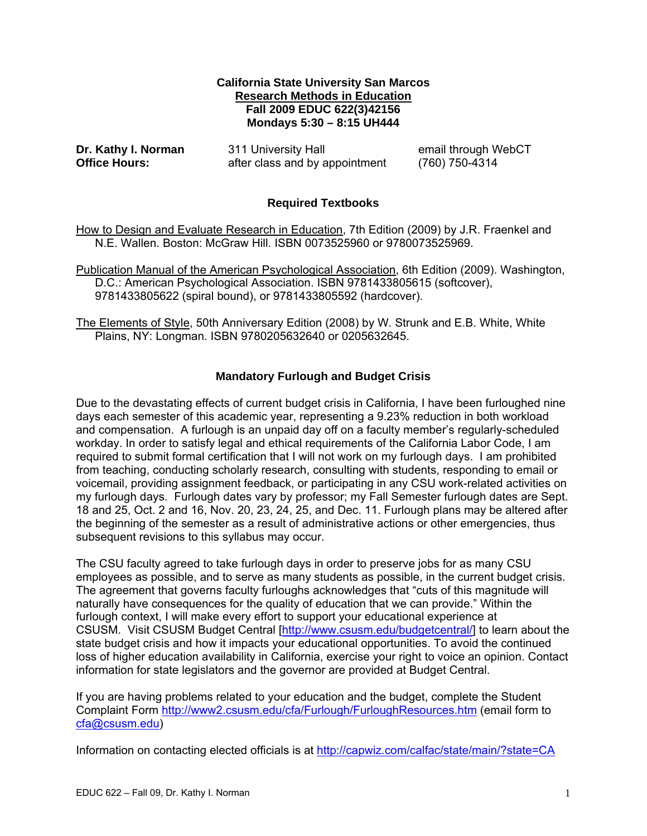### **California State University San Marcos Research Methods in Education Fall 2009 EDUC 622(3)42156 Mondays 5:30 – 8:15 UH444**

Dr. Kathy I. Norman

**Dr. Act 11 University Hall email through WebCT Office Hours: after class and by appointment** (760) 750-4314

# **Required Textbooks**

How to Design and Evaluate Research in Education, 7th Edition (2009) by J.R. Fraenkel and N.E. Wallen. Boston: McGraw Hill. ISBN 0073525960 or 9780073525969.

Publication Manual of the American Psychological Association, 6th Edition (2009). Washington, D.C.: American Psychological Association. ISBN 9781433805615 (softcover), 9781433805622 (spiral bound), or 9781433805592 (hardcover).

The Elements of Style, 50th Anniversary Edition (2008) by W. Strunk and E.B. White, White Plains, NY: Longman. ISBN 9780205632640 or 0205632645.

# **Mandatory Furlough and Budget Crisis**

Due to the devastating effects of current budget crisis in California, I have been furloughed nine days each semester of this academic year, representing a 9.23% reduction in both workload and compensation. A furlough is an unpaid day off on a faculty member's regularly-scheduled workday. In order to satisfy legal and ethical requirements of the California Labor Code, I am required to submit formal certification that I will not work on my furlough days. I am prohibited from teaching, conducting scholarly research, consulting with students, responding to email or voicemail, providing assignment feedback, or participating in any CSU work-related activities on my furlough days. Furlough dates vary by professor; my Fall Semester furlough dates are Sept. 18 and 25, Oct. 2 and 16, Nov. 20, 23, 24, 25, and Dec. 11. Furlough plans may be altered after the beginning of the semester as a result of administrative actions or other emergencies, thus subsequent revisions to this syllabus may occur.

The CSU faculty agreed to take furlough days in order to preserve jobs for as many CSU employees as possible, and to serve as many students as possible, in the current budget crisis. The agreement that governs faculty furloughs acknowledges that "cuts of this magnitude will naturally have consequences for the quality of education that we can provide." Within the furlough context, I will make every effort to support your educational experience at CSUSM. Visit CSUSM Budget Central [http://www.csusm.edu/budgetcentral/] to learn about the state budget crisis and how it impacts your educational opportunities. To avoid the continued loss of higher education availability in California, exercise your right to voice an opinion. Contact information for state legislators and the governor are provided at Budget Central.

If you are having problems related to your education and the budget, complete the Student Complaint Form http://www2.csusm.edu/cfa/Furlough/FurloughResources.htm (email form to cfa@csusm.edu)

Information on contacting elected officials is at http://capwiz.com/calfac/state/main/?state=CA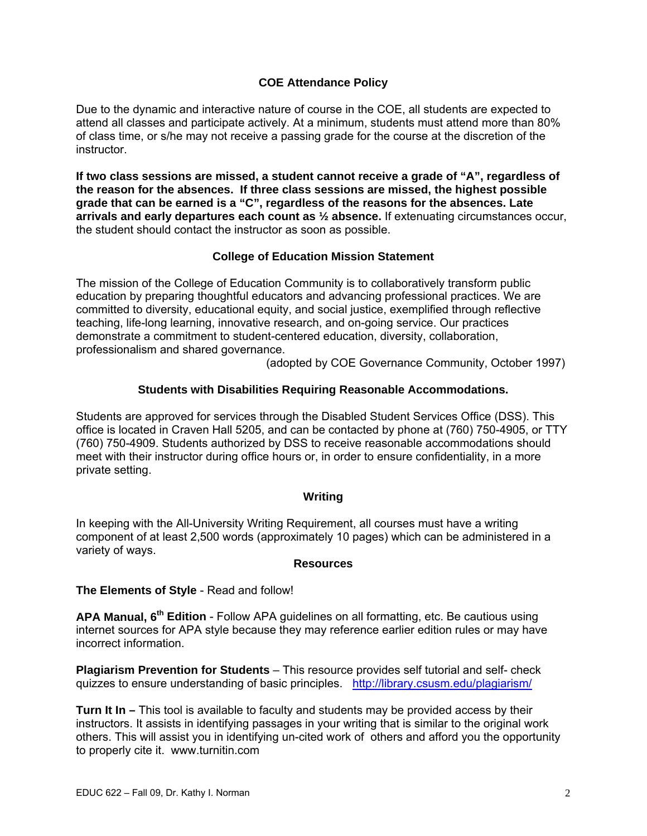# **COE Attendance Policy**

Due to the dynamic and interactive nature of course in the COE, all students are expected to attend all classes and participate actively. At a minimum, students must attend more than 80% of class time, or s/he may not receive a passing grade for the course at the discretion of the instructor.

**If two class sessions are missed, a student cannot receive a grade of "A", regardless of the reason for the absences. If three class sessions are missed, the highest possible grade that can be earned is a "C", regardless of the reasons for the absences. Late arrivals and early departures each count as ½ absence.** If extenuating circumstances occur, the student should contact the instructor as soon as possible.

# **College of Education Mission Statement**

The mission of the College of Education Community is to collaboratively transform public education by preparing thoughtful educators and advancing professional practices. We are committed to diversity, educational equity, and social justice, exemplified through reflective teaching, life-long learning, innovative research, and on-going service. Our practices demonstrate a commitment to student-centered education, diversity, collaboration, professionalism and shared governance.

(adopted by COE Governance Community, October 1997)

# **Students with Disabilities Requiring Reasonable Accommodations.**

Students are approved for services through the Disabled Student Services Office (DSS). This office is located in Craven Hall 5205, and can be contacted by phone at (760) 750-4905, or TTY (760) 750-4909. Students authorized by DSS to receive reasonable accommodations should meet with their instructor during office hours or, in order to ensure confidentiality, in a more private setting.

# **Writing**

In keeping with the All-University Writing Requirement, all courses must have a writing component of at least 2,500 words (approximately 10 pages) which can be administered in a variety of ways.

#### **Resources**

# **The Elements of Style** - Read and follow!

**APA Manual, 6th Edition** - Follow APA guidelines on all formatting, etc. Be cautious using internet sources for APA style because they may reference earlier edition rules or may have incorrect information.

**Plagiarism Prevention for Students** – This resource provides self tutorial and self- check quizzes to ensure understanding of basic principles. http://library.csusm.edu/plagiarism/

**Turn It In –** This tool is available to faculty and students may be provided access by their instructors. It assists in identifying passages in your writing that is similar to the original work others. This will assist you in identifying un-cited work of others and afford you the opportunity to properly cite it. www.turnitin.com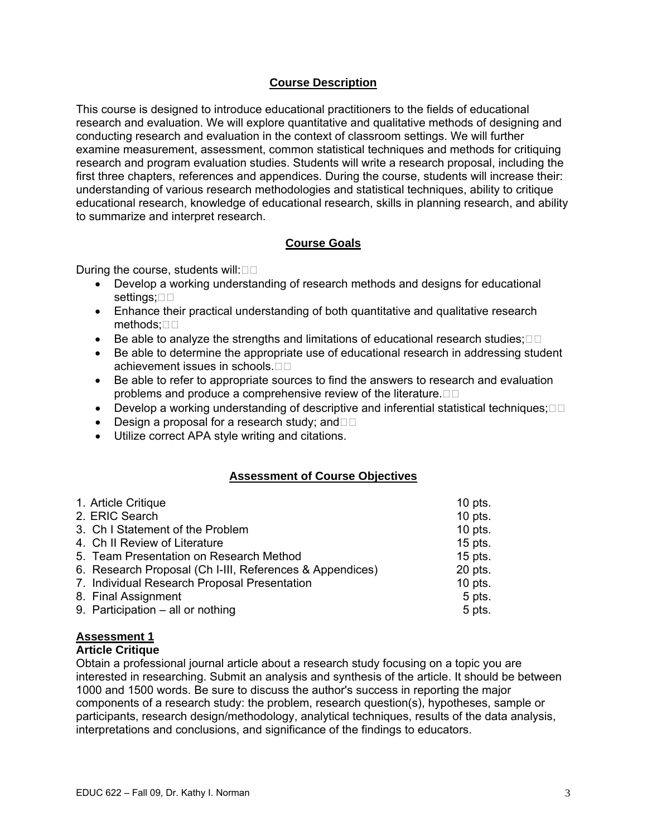## **Course Description**

This course is designed to introduce educational practitioners to the fields of educational research and evaluation. We will explore quantitative and qualitative methods of designing and conducting research and evaluation in the context of classroom settings. We will further examine measurement, assessment, common statistical techniques and methods for critiquing research and program evaluation studies. Students will write a research proposal, including the first three chapters, references and appendices. During the course, students will increase their: understanding of various research methodologies and statistical techniques, ability to critique educational research, knowledge of educational research, skills in planning research, and ability to summarize and interpret research.

# **Course Goals**

During the course, students will: $\square\square$ 

- Develop a working understanding of research methods and designs for educational settings; $\square$
- Enhance their practical understanding of both quantitative and qualitative research methods;□□
- Be able to analyze the strengths and limitations of educational research studies; $\Box$  $\Box$
- Be able to determine the appropriate use of educational research in addressing student achievement issues in schools.
- Be able to refer to appropriate sources to find the answers to research and evaluation problems and produce a comprehensive review of the literature. $\Box$  $\Box$
- Develop a working understanding of descriptive and inferential statistical techniques; $\Box$  $\Box$
- Design a proposal for a research study; and  $\Box$
- • Utilize correct APA style writing and citations.

#### **Assessment of Course Objectives**

| 1. Article Critique                                      | $10$ pts. |
|----------------------------------------------------------|-----------|
| 2. ERIC Search                                           | $10$ pts. |
| 3. Ch I Statement of the Problem                         | $10$ pts. |
| 4. Ch II Review of Literature                            | $15$ pts. |
| 5. Team Presentation on Research Method                  | $15$ pts. |
| 6. Research Proposal (Ch I-III, References & Appendices) | 20 pts.   |
| 7. Individual Research Proposal Presentation             | $10$ pts. |
| 8. Final Assignment                                      | 5 pts.    |
| 9. Participation - all or nothing                        | 5 pts.    |

#### **Assessment 1**

#### **Article Critique**

Obtain a professional journal article about a research study focusing on a topic you are interested in researching. Submit an analysis and synthesis of the article. It should be between 1000 and 1500 words. Be sure to discuss the author's success in reporting the major components of a research study: the problem, research question(s), hypotheses, sample or participants, research design/methodology, analytical techniques, results of the data analysis, interpretations and conclusions, and significance of the findings to educators.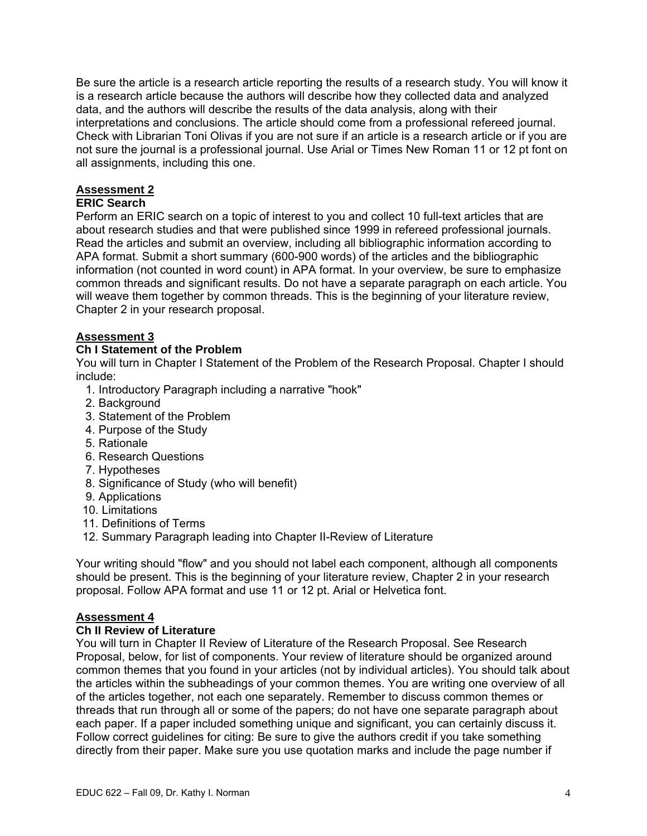Be sure the article is a research article reporting the results of a research study. You will know it is a research article because the authors will describe how they collected data and analyzed data, and the authors will describe the results of the data analysis, along with their interpretations and conclusions. The article should come from a professional refereed journal. Check with Librarian Toni Olivas if you are not sure if an article is a research article or if you are not sure the journal is a professional journal. Use Arial or Times New Roman 11 or 12 pt font on all assignments, including this one.

# **Assessment 2**

# **ERIC Search**

Perform an ERIC search on a topic of interest to you and collect 10 full-text articles that are about research studies and that were published since 1999 in refereed professional journals. Read the articles and submit an overview, including all bibliographic information according to APA format. Submit a short summary (600-900 words) of the articles and the bibliographic information (not counted in word count) in APA format. In your overview, be sure to emphasize common threads and significant results. Do not have a separate paragraph on each article. You will weave them together by common threads. This is the beginning of your literature review, Chapter 2 in your research proposal.

# **Assessment 3**

# **Assessment 3 Ch I Statement of the Problem**

You will turn in Chapter I Statement of the Problem of the Research Proposal. Chapter I should include:

- 1. Introductory Paragraph including a narrative "hook"
- 2. Background
- 3. Statement of the Problem
- 4. Purpose of the Study
- 5. Rationale
- 6. Research Questions
- 7. Hypotheses
- 8. Significance of Study (who will benefit)
- 9. Applications
- 10. Limitations
- 11. Definitions of Terms
- 12. Summary Paragraph leading into Chapter II-Review of Literature

Your writing should "flow" and you should not label each component, although all components should be present. This is the beginning of your literature review, Chapter 2 in your research proposal. Follow APA format and use 11 or 12 pt. Arial or Helvetica font.

# **Assessment 4**

# **Assessment 4 Ch II Review of Literature**

You will turn in Chapter II Review of Literature of the Research Proposal. See Research Proposal, below, for list of components. Your review of literature should be organized around common themes that you found in your articles (not by individual articles). You should talk about the articles within the subheadings of your common themes. You are writing one overview of all of the articles together, not each one separately. Remember to discuss common themes or threads that run through all or some of the papers; do not have one separate paragraph about each paper. If a paper included something unique and significant, you can certainly discuss it. Follow correct guidelines for citing: Be sure to give the authors credit if you take something directly from their paper. Make sure you use quotation marks and include the page number if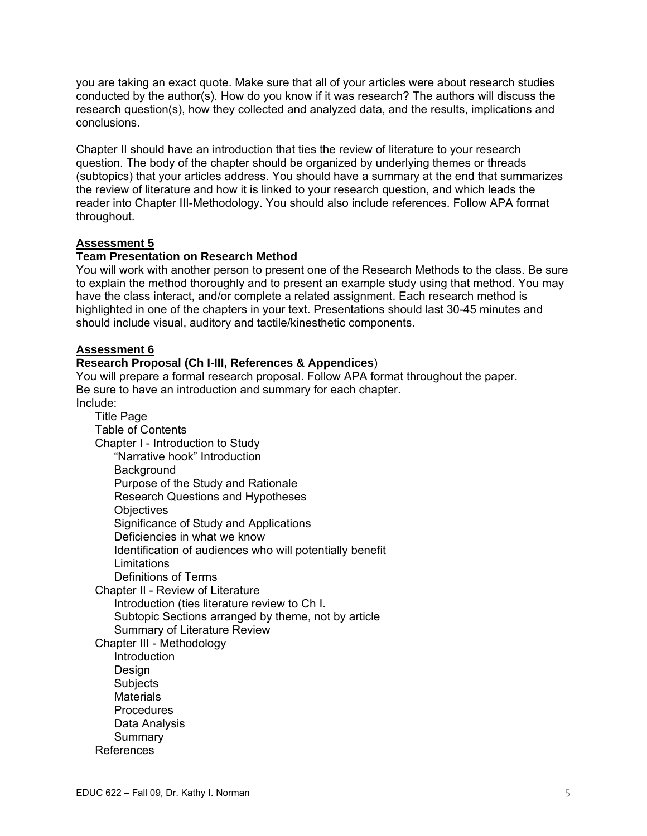you are taking an exact quote. Make sure that all of your articles were about research studies conducted by the author(s). How do you know if it was research? The authors will discuss the research question(s), how they collected and analyzed data, and the results, implications and conclusions.

Chapter II should have an introduction that ties the review of literature to your research question. The body of the chapter should be organized by underlying themes or threads (subtopics) that your articles address. You should have a summary at the end that summarizes the review of literature and how it is linked to your research question, and which leads the reader into Chapter III-Methodology. You should also include references. Follow APA format throughout.

# **Assessment 5**

### **Team Presentation on Research Method**

You will work with another person to present one of the Research Methods to the class. Be sure to explain the method thoroughly and to present an example study using that method. You may have the class interact, and/or complete a related assignment. Each research method is highlighted in one of the chapters in your text. Presentations should last 30-45 minutes and should include visual, auditory and tactile/kinesthetic components.

### **Assessment 6**

### **Research Proposal (Ch I-III, References & Appendices**)

You will prepare a formal research proposal. Follow APA format throughout the paper. Be sure to have an introduction and summary for each chapter. Include:

Title Page Table of Contents Chapter I - Introduction to Study "Narrative hook" Introduction **Background** Purpose of the Study and Rationale Research Questions and Hypotheses **Objectives** Significance of Study and Applications Deficiencies in what we know Identification of audiences who will potentially benefit **Limitations** Definitions of Terms Chapter II - Review of Literature Introduction (ties literature review to Ch I. Subtopic Sections arranged by theme, not by article Summary of Literature Review Chapter III - Methodology Introduction Design Subjects **Materials Procedures** Data Analysis Summary References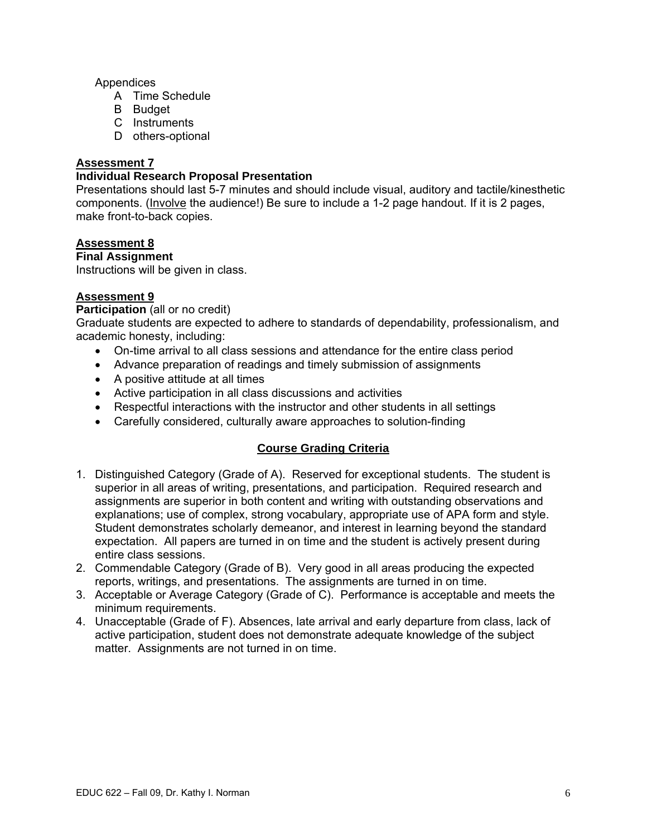## Appendices

- A Time Schedule
- B Budget
- C Instruments
- D others-optional

#### **Assessment 7**

#### **Individual Research Proposal Presentation**

Presentations should last 5-7 minutes and should include visual, auditory and tactile/kinesthetic components. (Involve the audience!) Be sure to include a 1-2 page handout. If it is 2 pages, make front-to-back copies.

### **Assessment 8**

**Final Assignment** 

Instructions will be given in class.

# **Assessment 9**

**Participation** (all or no credit)

Graduate students are expected to adhere to standards of dependability, professionalism, and academic honesty, including:

- On-time arrival to all class sessions and attendance for the entire class period
- Advance preparation of readings and timely submission of assignments
- A positive attitude at all times
- Active participation in all class discussions and activities
- Respectful interactions with the instructor and other students in all settings
- Carefully considered, culturally aware approaches to solution-finding

# **Course Grading Criteria**

- 1. Distinguished Category (Grade of A). Reserved for exceptional students. The student is superior in all areas of writing, presentations, and participation. Required research and assignments are superior in both content and writing with outstanding observations and explanations; use of complex, strong vocabulary, appropriate use of APA form and style. Student demonstrates scholarly demeanor, and interest in learning beyond the standard expectation. All papers are turned in on time and the student is actively present during entire class sessions.
- 2. Commendable Category (Grade of B). Very good in all areas producing the expected reports, writings, and presentations. The assignments are turned in on time.
- 3. Acceptable or Average Category (Grade of C). Performance is acceptable and meets the minimum requirements.
- 4. Unacceptable (Grade of F). Absences, late arrival and early departure from class, lack of active participation, student does not demonstrate adequate knowledge of the subject matter. Assignments are not turned in on time.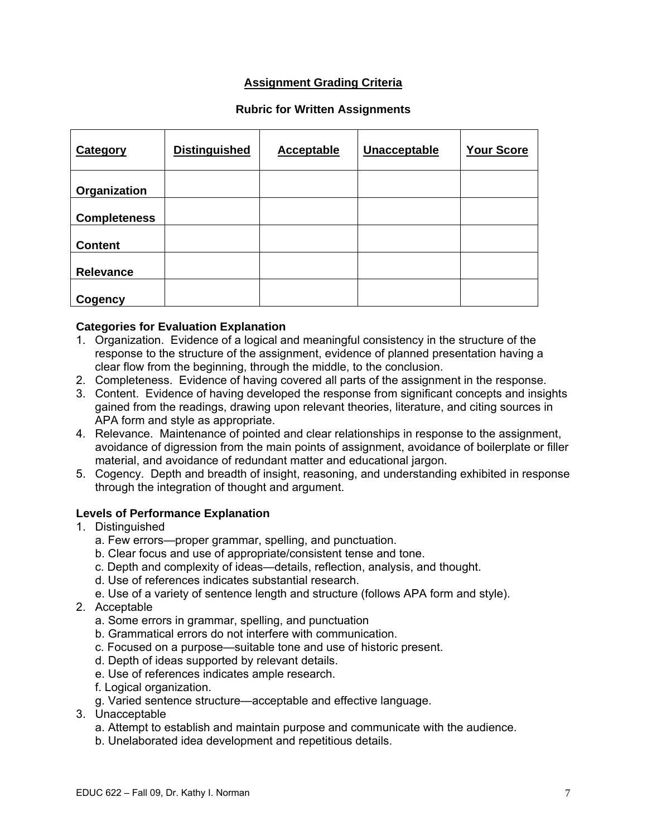# **Assignment Grading Criteria**

### **Rubric for Written Assignments**

| Category            | <b>Distinguished</b> | <b>Acceptable</b> | Unacceptable | <b>Your Score</b> |
|---------------------|----------------------|-------------------|--------------|-------------------|
| Organization        |                      |                   |              |                   |
| <b>Completeness</b> |                      |                   |              |                   |
| <b>Content</b>      |                      |                   |              |                   |
| <b>Relevance</b>    |                      |                   |              |                   |
| Cogency             |                      |                   |              |                   |

### **Categories for Evaluation Explanation**

- 1. Organization. Evidence of a logical and meaningful consistency in the structure of the response to the structure of the assignment, evidence of planned presentation having a clear flow from the beginning, through the middle, to the conclusion.
- 2. Completeness. Evidence of having covered all parts of the assignment in the response.
- 3. Content. Evidence of having developed the response from significant concepts and insights gained from the readings, drawing upon relevant theories, literature, and citing sources in APA form and style as appropriate.
- 4. Relevance. Maintenance of pointed and clear relationships in response to the assignment, avoidance of digression from the main points of assignment, avoidance of boilerplate or filler material, and avoidance of redundant matter and educational jargon.
- 5. Cogency. Depth and breadth of insight, reasoning, and understanding exhibited in response through the integration of thought and argument.

#### **Levels of Performance Explanation**

- 1. Distinguished
	- a. Few errors—proper grammar, spelling, and punctuation.
	- b. Clear focus and use of appropriate/consistent tense and tone.
	- c. Depth and complexity of ideas—details, reflection, analysis, and thought.
	- d. Use of references indicates substantial research.
	- e. Use of a variety of sentence length and structure (follows APA form and style).
- 2. Acceptable
	- a. Some errors in grammar, spelling, and punctuation
	- b. Grammatical errors do not interfere with communication.
	- c. Focused on a purpose—suitable tone and use of historic present.
	- d. Depth of ideas supported by relevant details.
	- e. Use of references indicates ample research.
	- f. Logical organization.
	- g. Varied sentence structure—acceptable and effective language.
- 3. Unacceptable
	- a. Attempt to establish and maintain purpose and communicate with the audience.
	- b. Unelaborated idea development and repetitious details.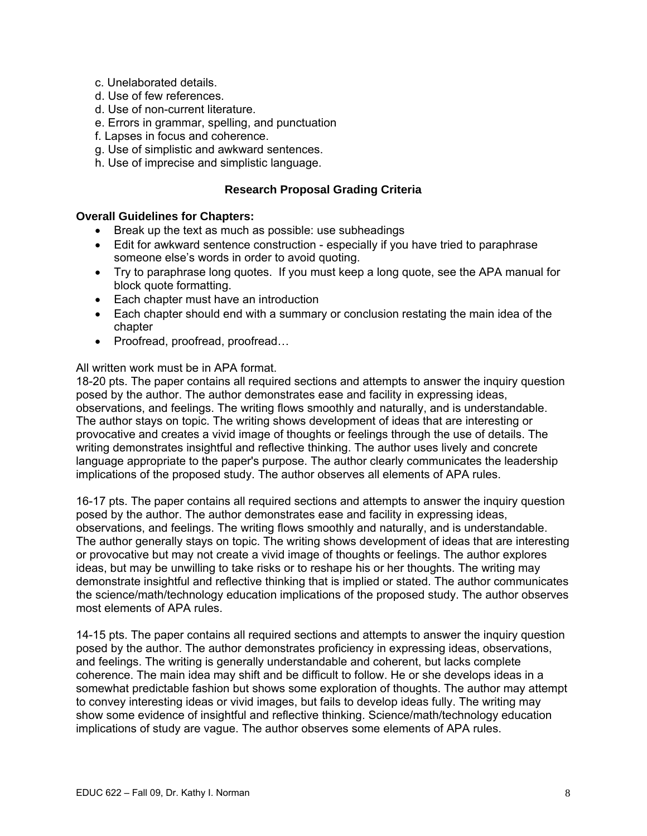- c. Unelaborated details.
- d. Use of few references.
- d. Use of non-current literature.
- e. Errors in grammar, spelling, and punctuation
- f. Lapses in focus and coherence.
- g. Use of simplistic and awkward sentences.
- h. Use of imprecise and simplistic language.

## **Research Proposal Grading Criteria**

### **Overall Guidelines for Chapters:**

- Break up the text as much as possible: use subheadings
- Edit for awkward sentence construction especially if you have tried to paraphrase someone else's words in order to avoid quoting.
- Try to paraphrase long quotes. If you must keep a long quote, see the APA manual for block quote formatting.
- Each chapter must have an introduction
- Each chapter should end with a summary or conclusion restating the main idea of the chapter
- Proofread, proofread, proofread...

### All written work must be in APA format.

18-20 pts. The paper contains all required sections and attempts to answer the inquiry question posed by the author. The author demonstrates ease and facility in expressing ideas, observations, and feelings. The writing flows smoothly and naturally, and is understandable. The author stays on topic. The writing shows development of ideas that are interesting or provocative and creates a vivid image of thoughts or feelings through the use of details. The writing demonstrates insightful and reflective thinking. The author uses lively and concrete language appropriate to the paper's purpose. The author clearly communicates the leadership implications of the proposed study. The author observes all elements of APA rules.

16-17 pts. The paper contains all required sections and attempts to answer the inquiry question posed by the author. The author demonstrates ease and facility in expressing ideas, observations, and feelings. The writing flows smoothly and naturally, and is understandable. The author generally stays on topic. The writing shows development of ideas that are interesting or provocative but may not create a vivid image of thoughts or feelings. The author explores ideas, but may be unwilling to take risks or to reshape his or her thoughts. The writing may demonstrate insightful and reflective thinking that is implied or stated. The author communicates the science/math/technology education implications of the proposed study. The author observes most elements of APA rules.

14-15 pts. The paper contains all required sections and attempts to answer the inquiry question posed by the author. The author demonstrates proficiency in expressing ideas, observations, and feelings. The writing is generally understandable and coherent, but lacks complete coherence. The main idea may shift and be difficult to follow. He or she develops ideas in a somewhat predictable fashion but shows some exploration of thoughts. The author may attempt to convey interesting ideas or vivid images, but fails to develop ideas fully. The writing may show some evidence of insightful and reflective thinking. Science/math/technology education implications of study are vague. The author observes some elements of APA rules.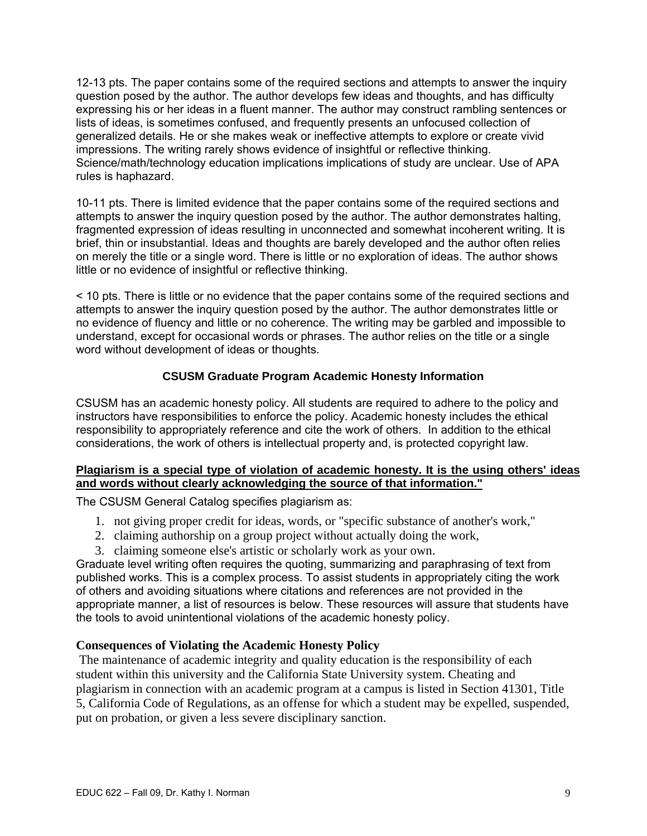12-13 pts. The paper contains some of the required sections and attempts to answer the inquiry question posed by the author. The author develops few ideas and thoughts, and has difficulty expressing his or her ideas in a fluent manner. The author may construct rambling sentences or lists of ideas, is sometimes confused, and frequently presents an unfocused collection of generalized details. He or she makes weak or ineffective attempts to explore or create vivid impressions. The writing rarely shows evidence of insightful or reflective thinking. Science/math/technology education implications implications of study are unclear. Use of APA rules is haphazard.

10-11 pts. There is limited evidence that the paper contains some of the required sections and attempts to answer the inquiry question posed by the author. The author demonstrates halting, fragmented expression of ideas resulting in unconnected and somewhat incoherent writing. It is brief, thin or insubstantial. Ideas and thoughts are barely developed and the author often relies on merely the title or a single word. There is little or no exploration of ideas. The author shows little or no evidence of insightful or reflective thinking.

< 10 pts. There is little or no evidence that the paper contains some of the required sections and attempts to answer the inquiry question posed by the author. The author demonstrates little or no evidence of fluency and little or no coherence. The writing may be garbled and impossible to understand, except for occasional words or phrases. The author relies on the title or a single word without development of ideas or thoughts.

# **CSUSM Graduate Program Academic Honesty Information**

CSUSM has an academic honesty policy. All students are required to adhere to the policy and instructors have responsibilities to enforce the policy. Academic honesty includes the ethical responsibility to appropriately reference and cite the work of others. In addition to the ethical considerations, the work of others is intellectual property and, is protected copyright law.

# **Plagiarism is a special type of violation of academic honesty. It is the using others' ideas and words without clearly acknowledging the source of that information."**

The CSUSM General Catalog specifies plagiarism as:

- 1. not giving proper credit for ideas, words, or "specific substance of another's work,"
- 2. claiming authorship on a group project without actually doing the work,
- 3. claiming someone else's artistic or scholarly work as your own.

Graduate level writing often requires the quoting, summarizing and paraphrasing of text from published works. This is a complex process. To assist students in appropriately citing the work of others and avoiding situations where citations and references are not provided in the appropriate manner, a list of resources is below. These resources will assure that students have the tools to avoid unintentional violations of the academic honesty policy.

# **Consequences of Violating the Academic Honesty Policy**

 The maintenance of academic integrity and quality education is the responsibility of each student within this university and the California State University system. Cheating and plagiarism in connection with an academic program at a campus is listed in Section 41301, Title 5, California Code of Regulations, as an offense for which a student may be expelled, suspended, put on probation, or given a less severe disciplinary sanction.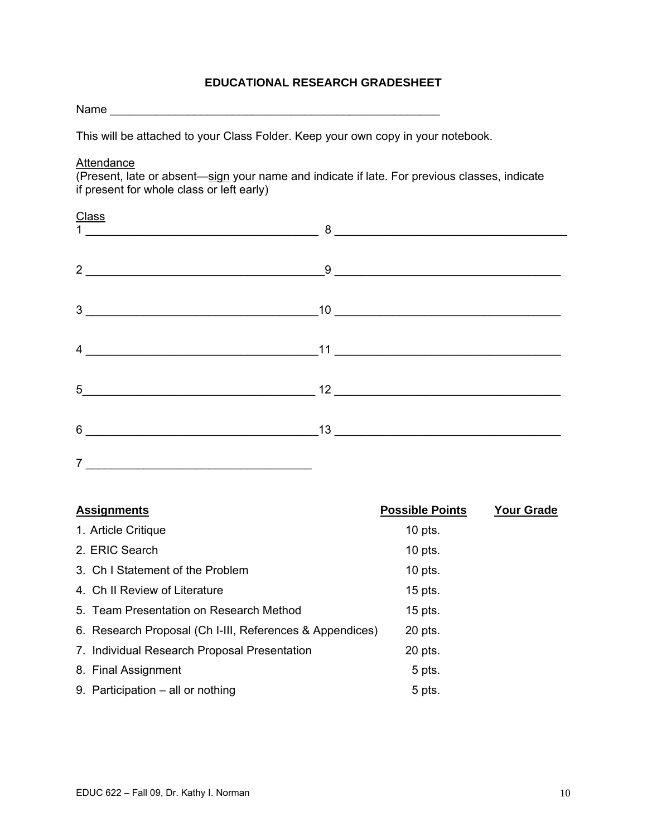# **EDUCATIONAL RESEARCH GRADESHEET**

Name \_\_\_\_\_\_\_\_\_\_\_\_\_\_\_\_\_\_\_\_\_\_\_\_\_\_\_\_\_\_\_\_\_\_\_\_\_\_\_\_\_\_\_\_\_\_\_\_\_\_\_

This will be attached to your Class Folder. Keep your own copy in your notebook.

**Attendance** 

(Present, late or absent—sign your name and indicate if late. For previous classes, indicate if present for whole class or left early)

#### **Class**

|                                       | $\frac{1}{1}$ $\frac{1}{1}$ $\frac{1}{1}$ $\frac{1}{1}$ $\frac{1}{1}$ $\frac{1}{1}$ $\frac{1}{1}$ $\frac{1}{1}$ $\frac{1}{1}$ $\frac{1}{1}$ $\frac{1}{1}$ $\frac{1}{1}$ $\frac{1}{1}$ $\frac{1}{1}$ $\frac{1}{1}$ $\frac{1}{1}$ $\frac{1}{1}$ $\frac{1}{1}$ $\frac{1}{1}$ $\frac{1}{1}$ $\frac{1}{1}$ $\frac{1}{1}$ |
|---------------------------------------|---------------------------------------------------------------------------------------------------------------------------------------------------------------------------------------------------------------------------------------------------------------------------------------------------------------------|
|                                       | $2 \overline{\phantom{a} }$                                                                                                                                                                                                                                                                                         |
|                                       | $\begin{tabular}{c} 3 \end{tabular}$ $\begin{tabular}{c} 3 \end{tabular}$                                                                                                                                                                                                                                           |
|                                       | $4 \frac{11}{2}$                                                                                                                                                                                                                                                                                                    |
|                                       |                                                                                                                                                                                                                                                                                                                     |
| $6 \qquad \qquad 13 \qquad \qquad 13$ |                                                                                                                                                                                                                                                                                                                     |

| <b>Assignments</b>                                       | <b>Possible Points</b> | <b>Your Grade</b> |
|----------------------------------------------------------|------------------------|-------------------|
| 1. Article Critique                                      | $10$ pts.              |                   |
| 2. ERIC Search                                           | $10$ pts.              |                   |
| 3. Ch I Statement of the Problem                         | $10$ pts.              |                   |
| 4. Ch II Review of Literature                            | $15$ pts.              |                   |
| 5. Team Presentation on Research Method                  | $15$ pts.              |                   |
| 6. Research Proposal (Ch I-III, References & Appendices) | 20 pts.                |                   |
| 7. Individual Research Proposal Presentation             | 20 pts.                |                   |
| 8. Final Assignment                                      | 5 pts.                 |                   |
| 9. Participation – all or nothing                        | 5 pts.                 |                   |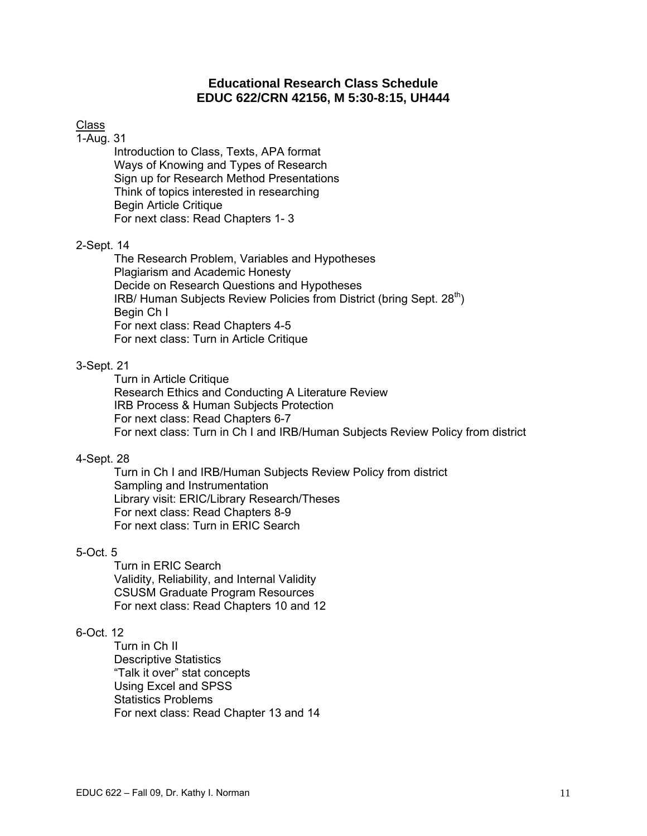# **Educational Research Class Schedule EDUC 622/CRN 42156, M 5:30-8:15, UH444**

## Class

#### 1-Aug. 31

Introduction to Class, Texts, APA format Ways of Knowing and Types of Research Sign up for Research Method Presentations Think of topics interested in researching Begin Article Critique For next class: Read Chapters 1- 3

#### 2-Sept. 14

The Research Problem, Variables and Hypotheses Plagiarism and Academic Honesty Decide on Research Questions and Hypotheses IRB/ Human Subjects Review Policies from District (bring Sept. 28<sup>th</sup>) Begin Ch I For next class: Read Chapters 4-5 For next class: Turn in Article Critique

#### 3-Sept. 21

 Research Ethics and Conducting A Literature Review IRB Process & Human Subjects Protection Turn in Article Critique For next class: Read Chapters 6-7 For next class: Turn in Ch I and IRB/Human Subjects Review Policy from district

#### 4-Sept. 28

Turn in Ch I and IRB/Human Subjects Review Policy from district Sampling and Instrumentation Library visit: ERIC/Library Research/Theses For next class: Read Chapters 8-9 For next class: Turn in ERIC Search

#### 5-Oct. 5

Turn in ERIC Search Validity, Reliability, and Internal Validity CSUSM Graduate Program Resources For next class: Read Chapters 10 and 12

# 6-Oct. 12

Turn in Ch II Descriptive Statistics "Talk it over" stat concepts Using Excel and SPSS Statistics Problems For next class: Read Chapter 13 and 14